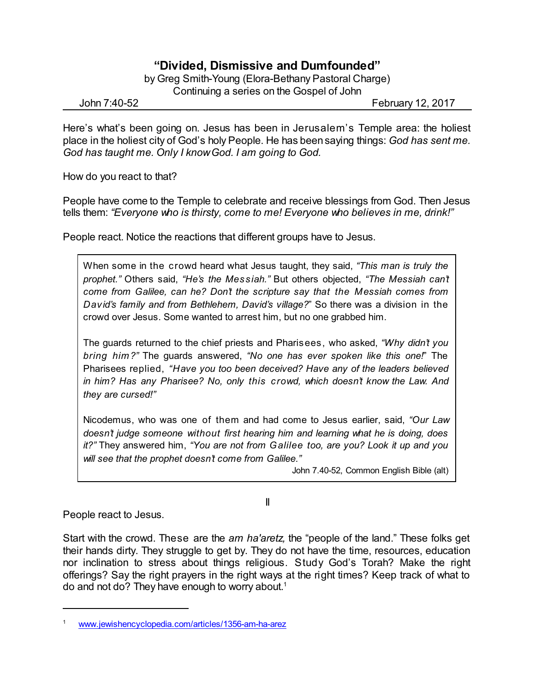## **"Divided, Dismissive and Dumfounded"**

by Greg Smith-Young (Elora-Bethany Pastoral Charge) Continuing a series on the Gospel of John

John 7:40-52 February 12, 2017

Here's what's been going on. Jesus has been in Jerusalem's Temple area: the holiest place in the holiest city of God's holy People. He has beensaying things: *God has sent me. God has taught me. Only I knowGod. I am going to God.*

How do you react to that?

People have come to the Temple to celebrate and receive blessings from God. Then Jesus tells them: *"Everyone who is thirsty, come to me! Everyone who believes in me, drink!"*

People react. Notice the reactions that different groups have to Jesus.

When some in the crowd heard what Jesus taught, they said, *"This man is truly the prophet."* Others said, *"He's the Messiah."* But others objected, *"The Messiah can't come from Galilee, can he? Don't the scripture say that the Messiah comes from David's family and from Bethlehem, David's village?*" So there was a division in the crowd over Jesus. Some wanted to arrest him, but no one grabbed him.

The guards returned to the chief priests and Pharisees, who asked, *"Why didn't you bring him?"* The guards answered, *"No one has ever spoken like this one!*" The Pharisees replied, *"Have you too been deceived? Have any of the leaders believed in him? Has any Pharisee? No, only this crowd, which doesn't know the Law. And they are cursed!"*

Nicodemus, who was one of them and had come to Jesus earlier, said, *"Our Law doesn't judge someone without first hearing him and learning what he is doing, does it?"* They answered him, *"You are not from Galilee too, are you? Look it up and you will see that the prophet doesn't come from Galilee."*

II

John 7.40-52, Common English Bible (alt)

People react to Jesus.

Start with the crowd. These are the *am ha'aretz,* the "people of the land." These folks get their hands dirty. They struggle to get by. They do not have the time, resources, education nor inclination to stress about things religious. Study God's Torah? Make the right offerings? Say the right prayers in the right ways at the right times? Keep track of what to do and not do? They have enough to worry about. 1

[www.jewishencyclopedia.com/articles/1356-am-ha-arez](http://www.jewishencyclopedia.com/articles/1356-am-ha-arez)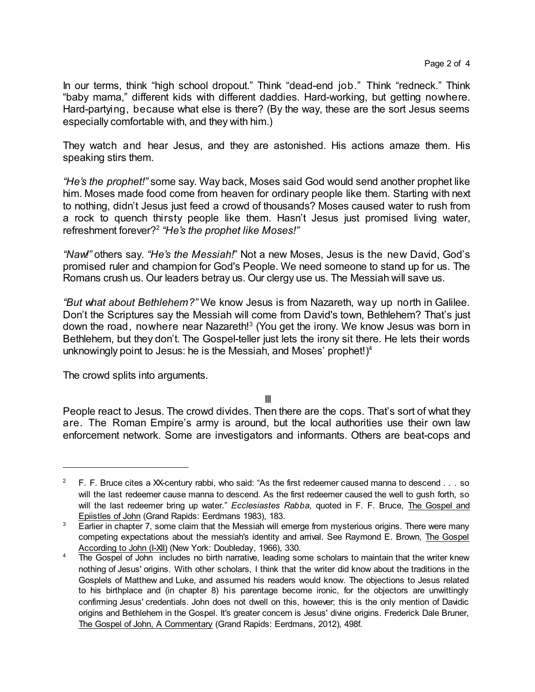In our terms, think "high school dropout." Think "dead-end job." Think "redneck." Think "baby mama," different kids with different daddies. Hard-working, but getting nowhere. Hard-partying, because what else is there? (By the way, these are the sort Jesus seems especially comfortable with, and they with him.)

They watch and hear Jesus, and they are astonished. His actions amaze them. His speaking stirs them.

*"He's the prophet!"* some say. Way back, Moses said God would send another prophet like him. Moses made food come from heaven for ordinary people like them. Starting with next to nothing, didn't Jesus just feed a crowd of thousands? Moses caused water to rush from a rock to quench thirsty people like them. Hasn't Jesus just promised living water, refreshment forever? 2 *"He's the prophet like Moses!"*

*"Naw!"* others say. *"He's the Messiah!*" Not a new Moses, Jesus is the new David, God's promised ruler and champion for God's People. We need someone to stand up for us. The Romans crush us. Our leaders betray us. Our clergy use us. The Messiah will save us.

*"But what about Bethlehem?"* We know Jesus is from Nazareth, way up north in Galilee. Don't the Scriptures say the Messiah will come from David's town, Bethlehem? That's just down the road, nowhere near Nazareth!<sup>3</sup> (You get the irony. We know Jesus was born in Bethlehem, but they don't. The Gospel-teller just lets the irony sit there. He lets their words unknowingly point to Jesus: he is the Messiah, and Moses' prophet!) 4

The crowd splits into arguments.

III

People react to Jesus. The crowd divides. Then there are the cops. That's sort of what they are. The Roman Empire's army is around, but the local authorities use their own law enforcement network. Some are investigators and informants. Others are beat-cops and

<sup>&</sup>lt;sup>2</sup> F. F. Bruce cites a XX-century rabbi, who said: "As the first redeemer caused manna to descend  $\dots$  so will the last redeemer cause manna to descend. As the first redeemer caused the well to gush forth, so will the last redeemer bring up water." *Ecclesiastes Rabba*, quoted in F. F. Bruce, The Gospel and Epiistles of John (Grand Rapids: Eerdmans 1983), 183.

<sup>&</sup>lt;sup>3</sup> Earlier in chapter 7, some claim that the Messiah will emerge from mysterious origins. There were many competing expectations about the messiah's identity and arrival. See Raymond E. Brown, The Gospel According to John (I-XII) (New York: Doubleday, 1966), 330.

<sup>&</sup>lt;sup>4</sup> The Gospel of John includes no birth narrative, leading some scholars to maintain that the writer knew nothing of Jesus' origins. With other scholars, I think that the writer did know about the traditions in the Gosplels of Matthew and Luke, and assumed his readers would know. The objections to Jesus related to his birthplace and (in chapter 8) his parentage become ironic, for the objectors are unwittingly confirming Jesus' credentials. John does not dwell on this, however; this is the only mention of Davidic origins and Bethlehem in the Gospel. It's greater concern is Jesus' divine origins. Frederick Dale Bruner, The Gospel of John, A Commentary (Grand Rapids: Eerdmans, 2012), 498f.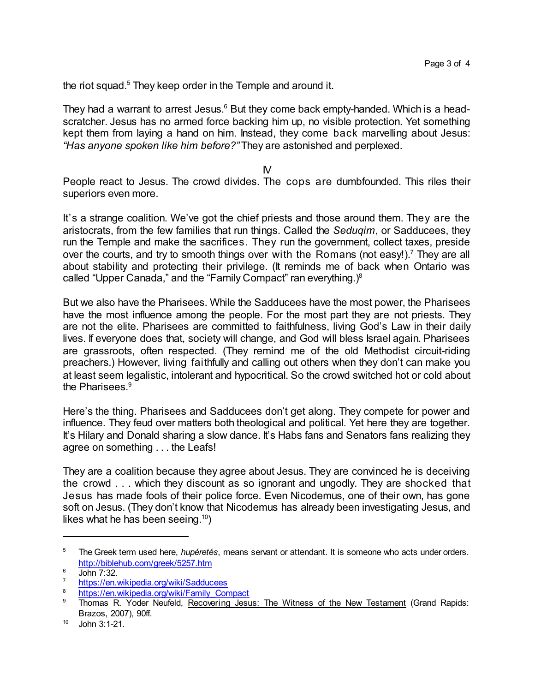the riot squad.<sup>5</sup> They keep order in the Temple and around it.

They had a warrant to arrest Jesus.<sup>6</sup> But they come back empty-handed. Which is a headscratcher. Jesus has no armed force backing him up, no visible protection. Yet something kept them from laying a hand on him. Instead, they come back marvelling about Jesus: *"Has anyone spoken like him before?"* They are astonished and perplexed.

IV

People react to Jesus. The crowd divides. The cops are dumbfounded. This riles their superiors even more.

It's a strange coalition. We've got the chief priests and those around them. They are the aristocrats, from the few families that run things. Called the *Seduqim*, or Sadducees, they run the Temple and make the sacrifices. They run the government, collect taxes, preside over the courts, and try to smooth things over with the Romans (not easy!).<sup>7</sup> They are all about stability and protecting their privilege. (It reminds me of back when Ontario was called "Upper Canada," and the "Family Compact" ran everything.) $^8$ 

But we also have the Pharisees. While the Sadducees have the most power, the Pharisees have the most influence among the people. For the most part they are not priests. They are not the elite. Pharisees are committed to faithfulness, living God's Law in their daily lives. If everyone does that, society will change, and God will bless Israel again. Pharisees are grassroots, often respected. (They remind me of the old Methodist circuit-riding preachers.) However, living faithfully and calling out others when they don't can make you at least seem legalistic, intolerant and hypocritical. So the crowd switched hot or cold about the Pharisees.<sup>9</sup>

Here's the thing. Pharisees and Sadducees don't get along. They compete for power and influence. They feud over matters both theological and political. Yet here they are together. It's Hilary and Donald sharing a slow dance. It's Habs fans and Senators fans realizing they agree on something . . . the Leafs!

They are a coalition because they agree about Jesus. They are convinced he is deceiving the crowd . . . which they discount as so ignorant and ungodly. They are shocked that Jesus has made fools of their police force. Even Nicodemus, one of their own, has gone soft on Jesus. (They don't know that Nicodemus has already been investigating Jesus, and likes what he has been seeing. $^{10})$ 

<sup>5</sup> The Greek term used here, *hupéretés*, means servant or attendant. It is someone who acts under orders. <http://biblehub.com/greek/5257.htm>

 $\frac{6}{7}$  John 7:32.

<https://en.wikipedia.org/wiki/Sadducees>

<sup>&</sup>lt;sup>8</sup> [https://en.wikipedia.org/wiki/Family\\_Compact](https://en.wikipedia.org/wiki/Family_Compact)

Thomas R. Yoder Neufeld, Recovering Jesus: The Witness of the New Testament (Grand Rapids: Brazos, 2007), 90ff.

 $10$  John 3:1-21.